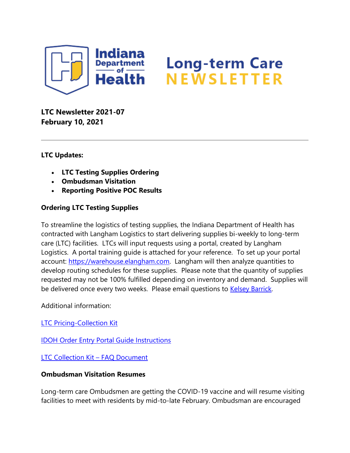

# **Long-term Care<br>NEWSLETTER**

**LTC Newsletter 2021-07 February 10, 2021**

### **LTC Updates:**

- **LTC Testing Supplies Ordering**
- **Ombudsman Visitation**
- **Reporting Positive POC Results**

## **Ordering LTC Testing Supplies**

To streamline the logistics of testing supplies, the Indiana Department of Health has contracted with Langham Logistics to start delivering supplies bi-weekly to long-term care (LTC) facilities. LTCs will input requests using a portal, created by Langham Logistics. A portal training guide is attached for your reference. To set up your portal account: [https://warehouse.elangham.com.](https://protect2.fireeye.com/v1/url?k=ee738826-b1e8b100-ee77c126-867666c9b37a-cc72b5b81f1de67c&q=1&e=8c88a7c7-3f4f-47eb-bfd6-ee263f9e606f&u=https%3A%2F%2Fwarehouse.elangham.com%2F) Langham will then analyze quantities to develop routing schedules for these supplies. Please note that the quantity of supplies requested may not be 100% fulfilled depending on inventory and demand. Supplies will be delivered once every two weeks. Please email questions to **Kelsey Barrick**.

Additional information:

**[LTC Pricing-Collection Kit](https://content.govdelivery.com/attachments/INSDH/2021/02/10/file_attachments/1689855/LTC%20Pricing%20-%20Collection%20Kits%20_%202021.01.25.pdf)** 

[IDOH Order Entry Portal Guide Instructions](https://content.govdelivery.com/attachments/INSDH/2021/02/10/file_attachments/1689856/ORDER%20ENTRY%20PORTAL%20GUIDE%20INSTRUCT-2.10.21.pdf)

[LTC Collection Kit](https://content.govdelivery.com/attachments/INSDH/2021/02/10/file_attachments/1689858/LTC%20Collection%20Kit%20-%20FAQ%20Document%20-%202021.01.25.pdf) – FAQ Document

### **Ombudsman Visitation Resumes**

Long-term care Ombudsmen are getting the COVID-19 vaccine and will resume visiting facilities to meet with residents by mid-to-late February. Ombudsman are encouraged